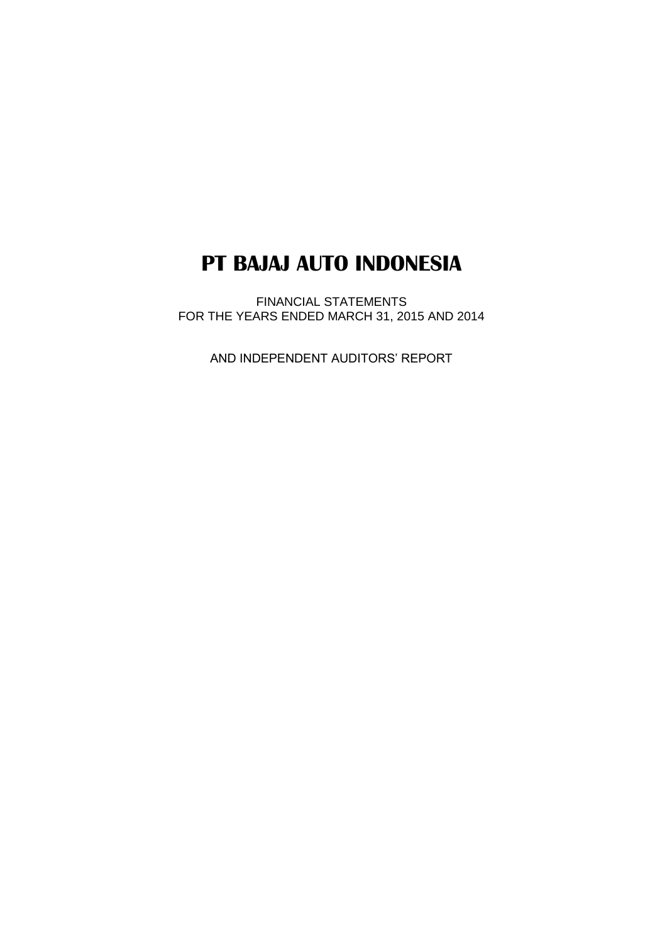# **PT BAJAJ AUTO INDONESIA**

FINANCIAL STATEMENTS FOR THE YEARS ENDED MARCH 31, 2015 AND 2014

AND INDEPENDENT AUDITORS' REPORT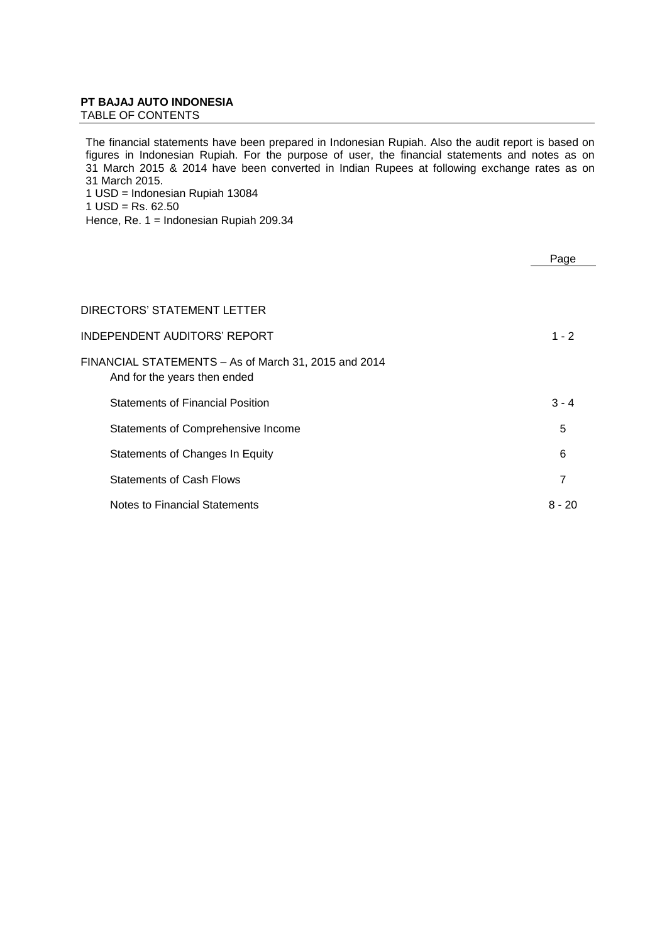# **PT BAJAJ AUTO INDONESIA**

TABLE OF CONTENTS

The financial statements have been prepared in Indonesian Rupiah. Also the audit report is based on figures in Indonesian Rupiah. For the purpose of user, the financial statements and notes as on 31 March 2015 & 2014 have been converted in Indian Rupees at following exchange rates as on 31 March 2015. 1 USD = Indonesian Rupiah 13084

1  $USD = Rs. 62.50$ 

Hence, Re. 1 = Indonesian Rupiah 209.34

|                                                                                      | Page     |
|--------------------------------------------------------------------------------------|----------|
|                                                                                      |          |
|                                                                                      |          |
| DIRECTORS' STATEMENT LETTER                                                          |          |
| INDEPENDENT AUDITORS' REPORT                                                         | $1 - 2$  |
| FINANCIAL STATEMENTS - As of March 31, 2015 and 2014<br>And for the years then ended |          |
| <b>Statements of Financial Position</b>                                              | $3 - 4$  |
| Statements of Comprehensive Income                                                   | 5        |
| Statements of Changes In Equity                                                      | 6        |
| <b>Statements of Cash Flows</b>                                                      | 7        |
| Notes to Financial Statements                                                        | $8 - 20$ |
|                                                                                      |          |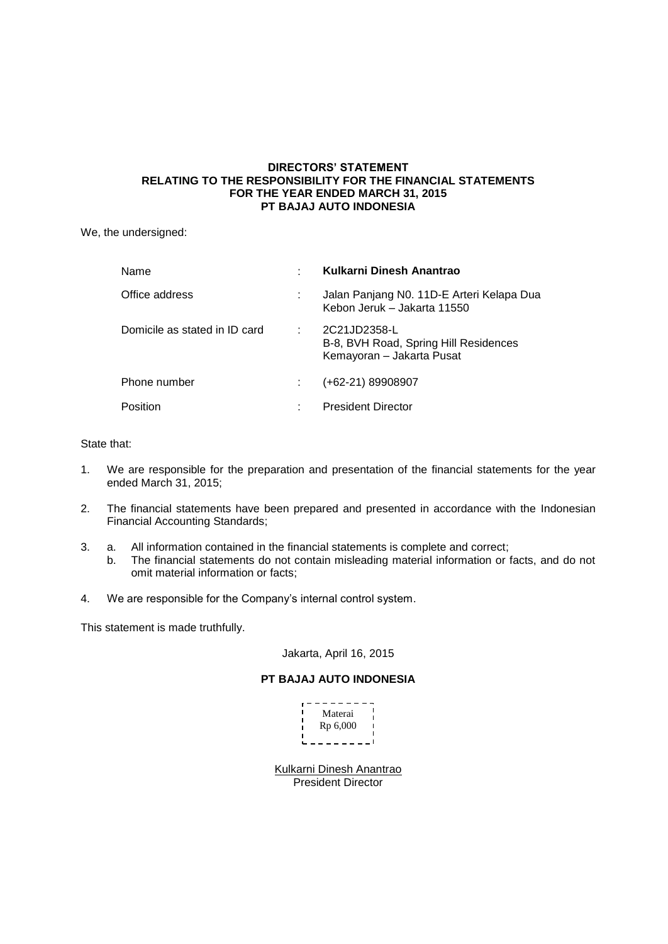# **DIRECTORS' STATEMENT RELATING TO THE RESPONSIBILITY FOR THE FINANCIAL STATEMENTS FOR THE YEAR ENDED MARCH 31, 2015 PT BAJAJ AUTO INDONESIA**

We, the undersigned:

| Name                          |   | Kulkarni Dinesh Anantrao                                                           |
|-------------------------------|---|------------------------------------------------------------------------------------|
| Office address                |   | Jalan Panjang N0. 11D-E Arteri Kelapa Dua<br>Kebon Jeruk – Jakarta 11550           |
| Domicile as stated in ID card |   | 2C21JD2358-L<br>B-8, BVH Road, Spring Hill Residences<br>Kemayoran - Jakarta Pusat |
| Phone number                  |   | $(+62-21)$ 89908907                                                                |
| Position                      | ÷ | <b>President Director</b>                                                          |

# State that:

- 1. We are responsible for the preparation and presentation of the financial statements for the year ended March 31, 2015;
- 2. The financial statements have been prepared and presented in accordance with the Indonesian Financial Accounting Standards;
- 3. a. All information contained in the financial statements is complete and correct;
	- b. The financial statements do not contain misleading material information or facts, and do not omit material information or facts;
- 4. We are responsible for the Company's internal control system.

This statement is made truthfully.

# Jakarta, April 16, 2015

# **PT BAJAJ AUTO INDONESIA**

| Materai  |  |
|----------|--|
|          |  |
| Rp 6,000 |  |
|          |  |
|          |  |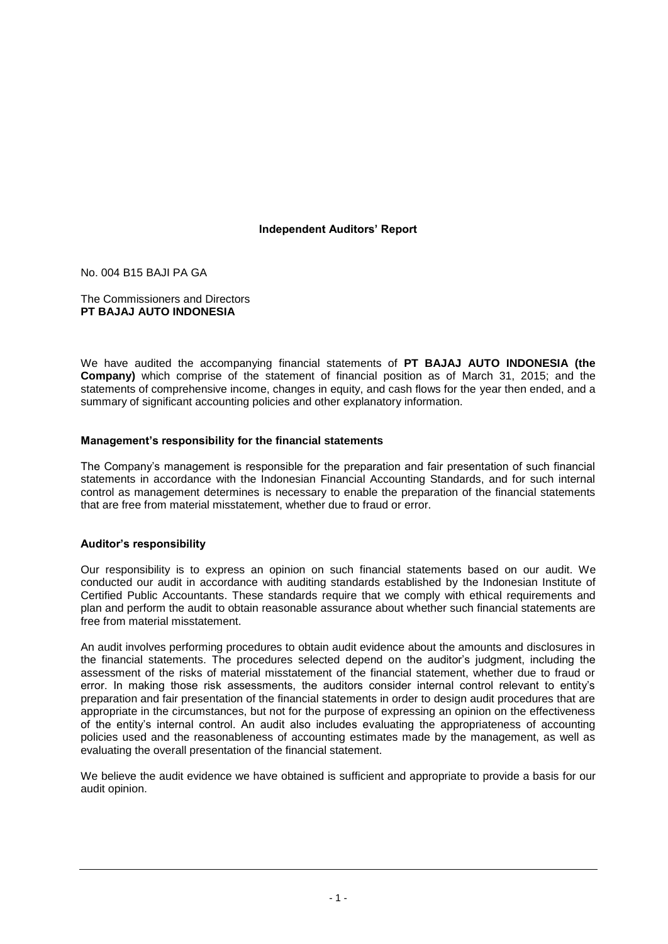# **Independent Auditors' Report**

No. 004 B15 BAJI PA GA

The Commissioners and Directors **PT BAJAJ AUTO INDONESIA**

We have audited the accompanying financial statements of **PT BAJAJ AUTO INDONESIA (the Company)** which comprise of the statement of financial position as of March 31, 2015; and the statements of comprehensive income, changes in equity, and cash flows for the year then ended, and a summary of significant accounting policies and other explanatory information.

# **Management's responsibility for the financial statements**

The Company's management is responsible for the preparation and fair presentation of such financial statements in accordance with the Indonesian Financial Accounting Standards, and for such internal control as management determines is necessary to enable the preparation of the financial statements that are free from material misstatement, whether due to fraud or error.

# **Auditor's responsibility**

Our responsibility is to express an opinion on such financial statements based on our audit. We conducted our audit in accordance with auditing standards established by the Indonesian Institute of Certified Public Accountants. These standards require that we comply with ethical requirements and plan and perform the audit to obtain reasonable assurance about whether such financial statements are free from material misstatement.

An audit involves performing procedures to obtain audit evidence about the amounts and disclosures in the financial statements. The procedures selected depend on the auditor's judgment, including the assessment of the risks of material misstatement of the financial statement, whether due to fraud or error. In making those risk assessments, the auditors consider internal control relevant to entity's preparation and fair presentation of the financial statements in order to design audit procedures that are appropriate in the circumstances, but not for the purpose of expressing an opinion on the effectiveness of the entity's internal control. An audit also includes evaluating the appropriateness of accounting policies used and the reasonableness of accounting estimates made by the management, as well as evaluating the overall presentation of the financial statement.

We believe the audit evidence we have obtained is sufficient and appropriate to provide a basis for our audit opinion.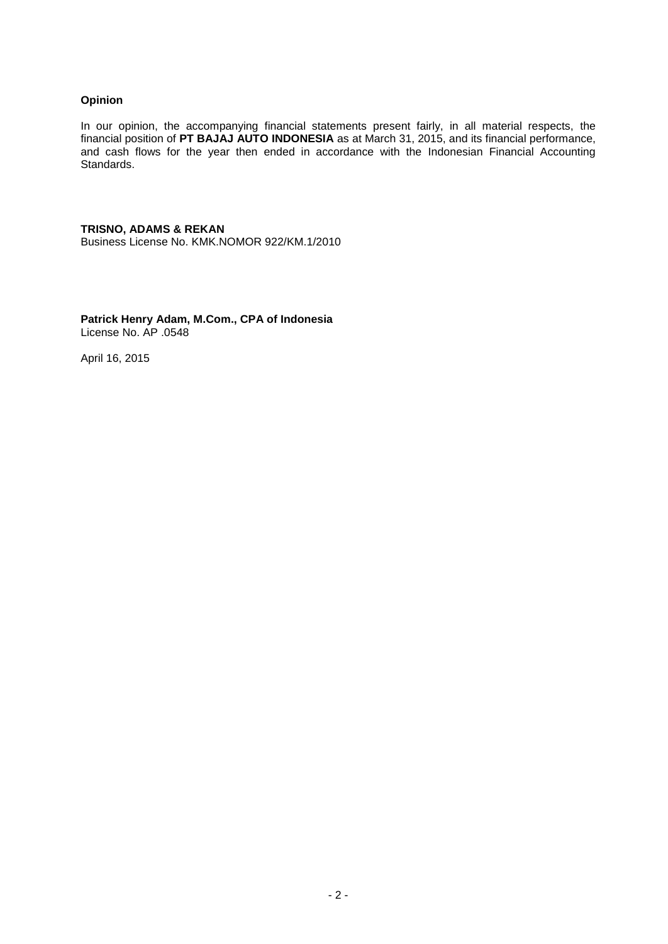# **Opinion**

In our opinion, the accompanying financial statements present fairly, in all material respects, the financial position of **PT BAJAJ AUTO INDONESIA** as at March 31, 2015, and its financial performance, and cash flows for the year then ended in accordance with the Indonesian Financial Accounting Standards.

# **TRISNO, ADAMS & REKAN**

Business License No. KMK.NOMOR 922/KM.1/2010

**Patrick Henry Adam, M.Com., CPA of Indonesia** License No. AP .0548

April 16, 2015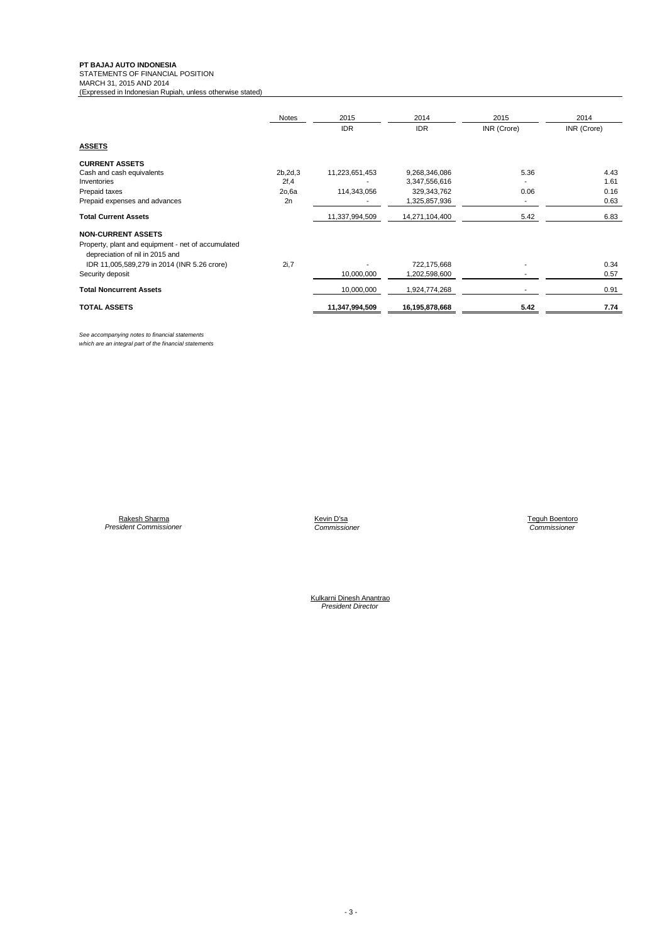**PT BAJAJ AUTO INDONESIA**<br>STATEMENTS OF FINANCIAL POSITION<br>MARCH 31, 2015 AND 2014

(Expressed in Indonesian Rupiah, unless otherwise stated)

|                                                                                       | Notes     | 2015           | 2014           | 2015        | 2014        |
|---------------------------------------------------------------------------------------|-----------|----------------|----------------|-------------|-------------|
|                                                                                       |           | <b>IDR</b>     | <b>IDR</b>     | INR (Crore) | INR (Crore) |
| <b>ASSETS</b>                                                                         |           |                |                |             |             |
| <b>CURRENT ASSETS</b>                                                                 |           |                |                |             |             |
| Cash and cash equivalents                                                             | 2b, 2d, 3 | 11,223,651,453 | 9,268,346,086  | 5.36        | 4.43        |
| Inventories                                                                           | 2f, 4     |                | 3,347,556,616  |             | 1.61        |
| Prepaid taxes                                                                         | 2o,6a     | 114,343,056    | 329, 343, 762  | 0.06        | 0.16        |
| Prepaid expenses and advances                                                         | 2n        |                | 1,325,857,936  | ٠           | 0.63        |
| <b>Total Current Assets</b>                                                           |           | 11,337,994,509 | 14,271,104,400 | 5.42        | 6.83        |
| <b>NON-CURRENT ASSETS</b>                                                             |           |                |                |             |             |
| Property, plant and equipment - net of accumulated<br>depreciation of nil in 2015 and |           |                |                |             |             |
| IDR 11,005,589,279 in 2014 (INR 5.26 crore)                                           | 2i,7      |                | 722,175,668    |             | 0.34        |
| Security deposit                                                                      |           | 10,000,000     | 1,202,598,600  |             | 0.57        |
| <b>Total Noncurrent Assets</b>                                                        |           | 10,000,000     | 1,924,774,268  | ٠           | 0.91        |
| <b>TOTAL ASSETS</b>                                                                   |           | 11,347,994,509 | 16,195,878,668 | 5.42        | 7.74        |

*See accompanying notes to financial statements which are an integral part of the financial statements*

Rakesh Sharma Kevin D'sa Teguh Boentoro *President Commissioner Commissioner Commissioner*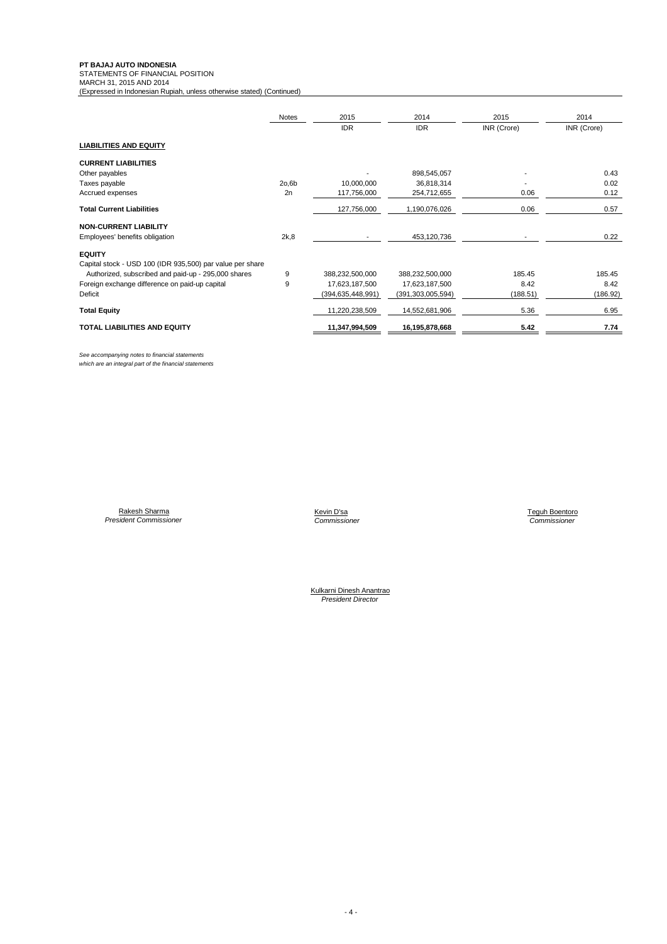**PT BAJAJ AUTO INDONESIA**<br>STATEMENTS OF FINANCIAL POSITION<br>MARCH 31, 2015 AND 2014

(Expressed in Indonesian Rupiah, unless otherwise stated) (Continued)

|                                                           | Notes | 2015              | 2014                 | 2015        | 2014        |
|-----------------------------------------------------------|-------|-------------------|----------------------|-------------|-------------|
|                                                           |       | <b>IDR</b>        | <b>IDR</b>           | INR (Crore) | INR (Crore) |
| <b>LIABILITIES AND EQUITY</b>                             |       |                   |                      |             |             |
| <b>CURRENT LIABILITIES</b>                                |       |                   |                      |             |             |
| Other payables                                            |       |                   | 898,545,057          |             | 0.43        |
| Taxes payable                                             | 20,6b | 10,000,000        | 36,818,314           |             | 0.02        |
| Accrued expenses                                          | 2n    | 117,756,000       | 254,712,655          | 0.06        | 0.12        |
| <b>Total Current Liabilities</b>                          |       | 127,756,000       | 1,190,076,026        | 0.06        | 0.57        |
| <b>NON-CURRENT LIABILITY</b>                              |       |                   |                      |             |             |
| Employees' benefits obligation                            | 2k,8  |                   | 453,120,736          |             | 0.22        |
| <b>EQUITY</b>                                             |       |                   |                      |             |             |
| Capital stock - USD 100 (IDR 935,500) par value per share |       |                   |                      |             |             |
| Authorized, subscribed and paid-up - 295,000 shares       | 9     | 388,232,500,000   | 388,232,500,000      | 185.45      | 185.45      |
| Foreign exchange difference on paid-up capital            | 9     | 17,623,187,500    | 17,623,187,500       | 8.42        | 8.42        |
| Deficit                                                   |       | (394,635,448,991) | (391, 303, 005, 594) | (188.51)    | (186.92)    |
| <b>Total Equity</b>                                       |       | 11,220,238,509    | 14,552,681,906       | 5.36        | 6.95        |
| <b>TOTAL LIABILITIES AND EQUITY</b>                       |       | 11,347,994,509    | 16,195,878,668       | 5.42        | 7.74        |

*See accompanying notes to financial statements which are an integral part of the financial statements*

Rakesh Sharma Kevin D'sa Teguh Boentoro *President Commissioner Commissioner Commissioner*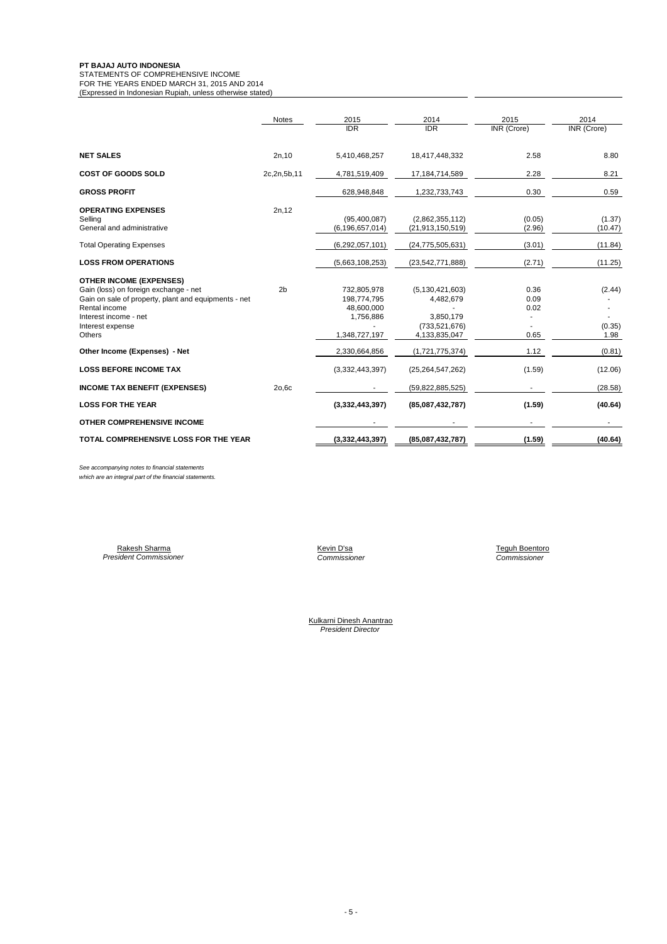#### **PT BAJAJ AUTO INDONESIA**

STATEMENTS OF COMPREHENSIVE INCOME

FOR THE YEARS ENDED MARCH 31, 2015 AND 2014 (Expressed in Indonesian Rupiah, unless otherwise stated)

|                                                                                                                                                                                                         | <b>Notes</b>   | 2015<br><b>IDR</b>                                                     | 2014<br><b>IDR</b>                                                               | 2015<br><b>INR</b> (Crore)   | 2014<br><b>INR</b> (Crore) |
|---------------------------------------------------------------------------------------------------------------------------------------------------------------------------------------------------------|----------------|------------------------------------------------------------------------|----------------------------------------------------------------------------------|------------------------------|----------------------------|
| <b>NET SALES</b>                                                                                                                                                                                        | 2n, 10         | 5,410,468,257                                                          | 18,417,448,332                                                                   | 2.58                         | 8.80                       |
| <b>COST OF GOODS SOLD</b>                                                                                                                                                                               | 2c,2n,5b,11    | 4,781,519,409                                                          | 17,184,714,589                                                                   | 2.28                         | 8.21                       |
| <b>GROSS PROFIT</b>                                                                                                                                                                                     |                | 628,948,848                                                            | 1,232,733,743                                                                    | 0.30                         | 0.59                       |
| <b>OPERATING EXPENSES</b><br>Selling<br>General and administrative                                                                                                                                      | 2n, 12         | (95,400,087)<br>(6, 196, 657, 014)                                     | (2,862,355,112)<br>(21, 913, 150, 519)                                           | (0.05)<br>(2.96)             | (1.37)<br>(10.47)          |
| <b>Total Operating Expenses</b>                                                                                                                                                                         |                | (6,292,057,101)                                                        | (24, 775, 505, 631)                                                              | (3.01)                       | (11.84)                    |
| <b>LOSS FROM OPERATIONS</b>                                                                                                                                                                             |                | (5,663,108,253)                                                        | (23, 542, 771, 888)                                                              | (2.71)                       | (11.25)                    |
| <b>OTHER INCOME (EXPENSES)</b><br>Gain (loss) on foreign exchange - net<br>Gain on sale of property, plant and equipments - net<br>Rental income<br>Interest income - net<br>Interest expense<br>Others | 2 <sub>b</sub> | 732,805,978<br>198,774,795<br>48,600,000<br>1,756,886<br>1,348,727,197 | (5, 130, 421, 603)<br>4,482,679<br>3,850,179<br>(733, 521, 676)<br>4,133,835,047 | 0.36<br>0.09<br>0.02<br>0.65 | (2.44)<br>(0.35)<br>1.98   |
| Other Income (Expenses) - Net                                                                                                                                                                           |                | 2,330,664,856                                                          | (1,721,775,374)                                                                  | 1.12                         | (0.81)                     |
| <b>LOSS BEFORE INCOME TAX</b>                                                                                                                                                                           |                | (3,332,443,397)                                                        | (25, 264, 547, 262)                                                              | (1.59)                       | (12.06)                    |
| <b>INCOME TAX BENEFIT (EXPENSES)</b>                                                                                                                                                                    | 20,6c          |                                                                        | (59,822,885,525)                                                                 |                              | (28.58)                    |
| <b>LOSS FOR THE YEAR</b>                                                                                                                                                                                |                | (3,332,443,397)                                                        | (85,087,432,787)                                                                 | (1.59)                       | (40.64)                    |
| <b>OTHER COMPREHENSIVE INCOME</b>                                                                                                                                                                       |                |                                                                        |                                                                                  |                              | ۰.                         |
| TOTAL COMPREHENSIVE LOSS FOR THE YEAR                                                                                                                                                                   |                | (3,332,443,397)                                                        | (85,087,432,787)                                                                 | (1.59)                       | (40.64)                    |

*See accompanying notes to financial statements*

*which are an integral part of the financial statements.*

Rakesh Sharma *President Commissioner*

*Commissioner Commissioner*

Teguh Boentoro<br>Commissioner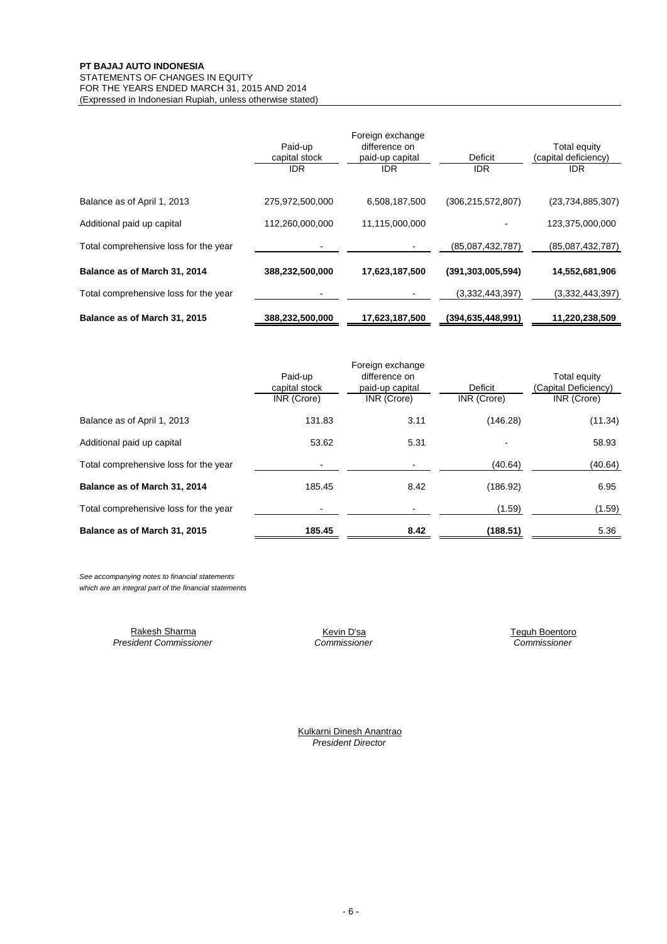#### FOR THE YEARS ENDED MARCH 31, 2015 AND 2014 (Expressed in Indonesian Rupiah, unless otherwise stated) **PT BAJAJ AUTO INDONESIA** STATEMENTS OF CHANGES IN EQUITY

|                                       | Paid-up<br>capital stock<br><b>IDR</b> | Foreign exchange<br>difference on<br>paid-up capital<br><b>IDR</b> | Deficit<br>IDR.      | Total equity<br>(capital deficiency)<br><b>IDR</b> |
|---------------------------------------|----------------------------------------|--------------------------------------------------------------------|----------------------|----------------------------------------------------|
| Balance as of April 1, 2013           | 275,972,500,000                        | 6,508,187,500                                                      | (306, 215, 572, 807) | (23, 734, 885, 307)                                |
| Additional paid up capital            | 112,260,000,000                        | 11,115,000,000                                                     |                      | 123,375,000,000                                    |
| Total comprehensive loss for the year |                                        |                                                                    | (85,087,432,787)     | (85,087,432,787)                                   |
| Balance as of March 31, 2014          | 388,232,500,000                        | 17,623,187,500                                                     | (391, 303, 005, 594) | 14,552,681,906                                     |
| Total comprehensive loss for the year |                                        |                                                                    | (3,332,443,397)      | (3,332,443,397)                                    |
| Balance as of March 31, 2015          | 388,232,500,000                        | 17,623,187,500                                                     | (394,635,448,991)    | 11,220,238,509                                     |

|                                       |               | Foreign exchange |             |                      |  |
|---------------------------------------|---------------|------------------|-------------|----------------------|--|
|                                       | Paid-up       | difference on    |             | Total equity         |  |
|                                       | capital stock | paid-up capital  | Deficit     | (Capital Deficiency) |  |
|                                       | INR (Crore)   | INR (Crore)      | INR (Crore) | INR (Crore)          |  |
| Balance as of April 1, 2013           | 131.83        | 3.11             | (146.28)    | (11.34)              |  |
| Additional paid up capital            | 53.62         | 5.31             |             | 58.93                |  |
| Total comprehensive loss for the year |               |                  | (40.64)     | (40.64)              |  |
| Balance as of March 31, 2014          | 185.45        | 8.42             | (186.92)    | 6.95                 |  |
| Total comprehensive loss for the year |               |                  | (1.59)      | (1.59)               |  |
| Balance as of March 31, 2015          | 185.45        | 8.42             | (188.51)    | 5.36                 |  |

*See accompanying notes to financial statements which are an integral part of the financial statements*

> *President Commissioner Commissioner Commissioner* Rakesh Sharma **Kevin D'sa** Kevin D'sa **Kevin D'sa** Teguh Boentoro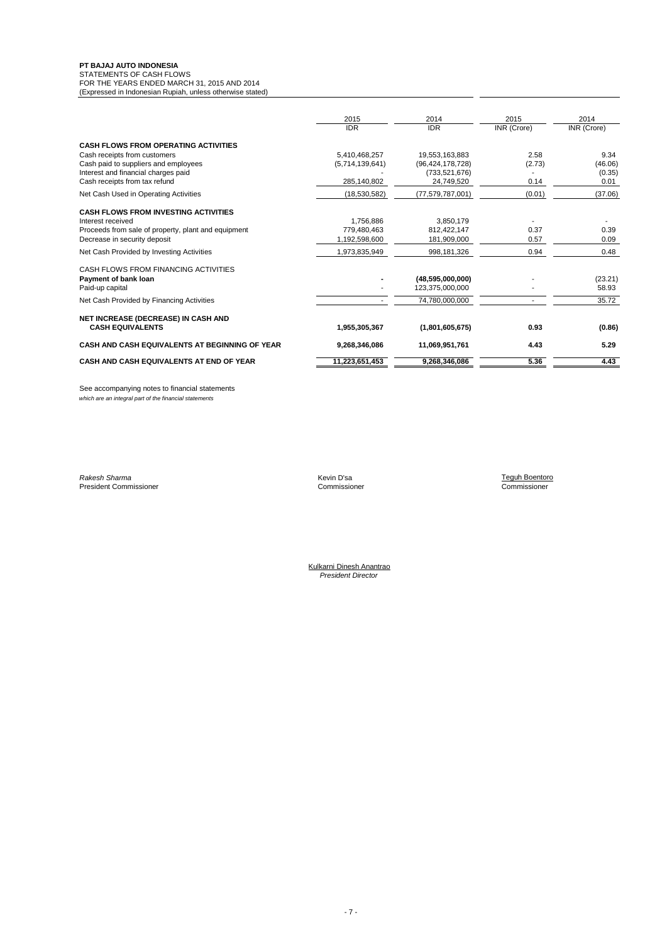#### **PT BAJAJ AUTO INDONESIA**

STATEMENTS OF CASH FLOWS

FOR THE YEARS ENDED MARCH 31, 2015 AND 2014 (Expressed in Indonesian Rupiah, unless otherwise stated)

|                                                                                                                                                                                             | 2015<br><b>IDR</b>                              | 2014<br><b>IDR</b>                                                     | 2015<br>INR (Crore)    | 2014<br>INR (Crore)               |
|---------------------------------------------------------------------------------------------------------------------------------------------------------------------------------------------|-------------------------------------------------|------------------------------------------------------------------------|------------------------|-----------------------------------|
| <b>CASH FLOWS FROM OPERATING ACTIVITIES</b><br>Cash receipts from customers<br>Cash paid to suppliers and employees<br>Interest and financial charges paid<br>Cash receipts from tax refund | 5,410,468,257<br>(5,714,139,641)<br>285,140,802 | 19,553,163,883<br>(96, 424, 178, 728)<br>(733, 521, 676)<br>24,749,520 | 2.58<br>(2.73)<br>0.14 | 9.34<br>(46.06)<br>(0.35)<br>0.01 |
| Net Cash Used in Operating Activities                                                                                                                                                       | (18,530,582)                                    | (77, 579, 787, 001)                                                    | (0.01)                 | (37.06)                           |
| <b>CASH FLOWS FROM INVESTING ACTIVITIES</b><br>Interest received<br>Proceeds from sale of property, plant and equipment<br>Decrease in security deposit                                     | 1,756,886<br>779.480.463<br>1,192,598,600       | 3,850,179<br>812,422,147<br>181,909,000                                | 0.37<br>0.57           | 0.39<br>0.09                      |
| Net Cash Provided by Investing Activities                                                                                                                                                   | 1,973,835,949                                   | 998,181,326                                                            | 0.94                   | 0.48                              |
| CASH FLOWS FROM FINANCING ACTIVITIES<br>Payment of bank loan<br>Paid-up capital                                                                                                             |                                                 | (48,595,000,000)<br>123,375,000,000                                    |                        | (23.21)<br>58.93                  |
| Net Cash Provided by Financing Activities                                                                                                                                                   |                                                 | 74,780,000,000                                                         |                        | 35.72                             |
| NET INCREASE (DECREASE) IN CASH AND<br><b>CASH EQUIVALENTS</b>                                                                                                                              | 1,955,305,367                                   | (1,801,605,675)                                                        | 0.93                   | (0.86)                            |
| CASH AND CASH EQUIVALENTS AT BEGINNING OF YEAR                                                                                                                                              | 9,268,346,086                                   | 11,069,951,761                                                         | 4.43                   | 5.29                              |
| CASH AND CASH EQUIVALENTS AT END OF YEAR                                                                                                                                                    | 11,223,651,453                                  | 9,268,346,086                                                          | 5.36                   | 4.43                              |

See accompanying notes to financial statements *which are an integral part of the financial statements*

*Rakesh Sharma* Kevin D'sa Teguh Boentoro President Commissioner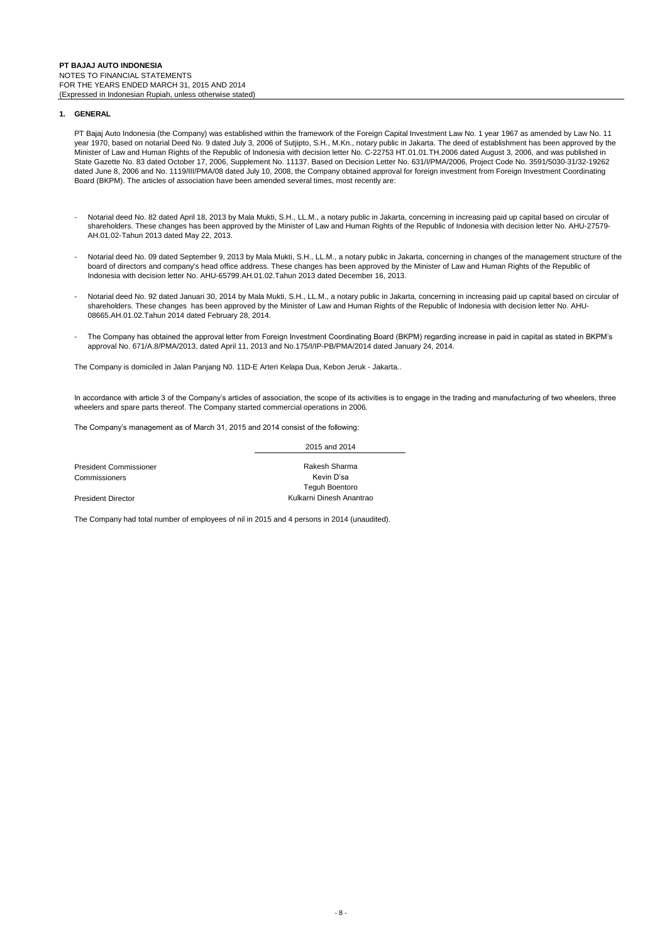#### **1. GENERAL**

PT Bajaj Auto Indonesia (the Company) was established within the framework of the Foreign Capital Investment Law No. 1 year 1967 as amended by Law No. 11 year 1970, based on notarial Deed No. 9 dated July 3, 2006 of Sutjipto, S.H., M.Kn., notary public in Jakarta. The deed of establishment has been approved by the Minister of Law and Human Rights of the Republic of Indonesia with decision letter No. C-22753 HT.01.01.TH.2006 dated August 3, 2006, and was published in State Gazette No. 83 dated October 17, 2006, Supplement No. 11137. Based on Decision Letter No. 631/I/PMA/2006, Project Code No. 3591/5030-31/32-19262 dated June 8, 2006 and No. 1119/III/PMA/08 dated July 10, 2008, the Company obtained approval for foreign investment from Foreign Investment Coordinating Board (BKPM). The articles of association have been amended several times, most recently are:

- Notarial deed No. 82 dated April 18, 2013 by Mala Mukti, S.H., LL.M., a notary public in Jakarta, concerning in increasing paid up capital based on circular of shareholders. These changes has been approved by the Minister of Law and Human Rights of the Republic of Indonesia with decision letter No. AHU-27579- AH.01.02-Tahun 2013 dated May 22, 2013.
- Notarial deed No. 09 dated September 9, 2013 by Mala Mukti, S.H., LL.M., a notary public in Jakarta, concerning in changes of the management structure of the board of directors and company's head office address. These changes has been approved by the Minister of Law and Human Rights of the Republic of Indonesia with decision letter No. AHU-65799.AH.01.02.Tahun 2013 dated December 16, 2013.
- Notarial deed No. 92 dated Januari 30, 2014 by Mala Mukti, S.H., LL.M., a notary public in Jakarta, concerning in increasing paid up capital based on circular of shareholders. These changes has been approved by the Minister of Law and Human Rights of the Republic of Indonesia with decision letter No. AHU-08665.AH.01.02.Tahun 2014 dated February 28, 2014.
- The Company has obtained the approval letter from Foreign Investment Coordinating Board (BKPM) regarding increase in paid in capital as stated in BKPM's approval No. 671/A.8/PMA/2013, dated April 11, 2013 and No.175/I/IP-PB/PMA/2014 dated January 24, 2014.

The Company is domiciled in Jalan Panjang N0. 11D-E Arteri Kelapa Dua, Kebon Jeruk - Jakarta..

In accordance with article 3 of the Company's articles of association, the scope of its activities is to engage in the trading and manufacturing of two wheelers, three wheelers and spare parts thereof. The Company started commercial operations in 2006.

The Company's management as of March 31, 2015 and 2014 consist of the following:

|                               | 2015 and 2014            |
|-------------------------------|--------------------------|
|                               |                          |
| <b>President Commissioner</b> | Rakesh Sharma            |
| Commissioners                 | Kevin D'sa               |
|                               | <b>Teguh Boentoro</b>    |
| <b>President Director</b>     | Kulkarni Dinesh Anantrao |

The Company had total number of employees of nil in 2015 and 4 persons in 2014 (unaudited).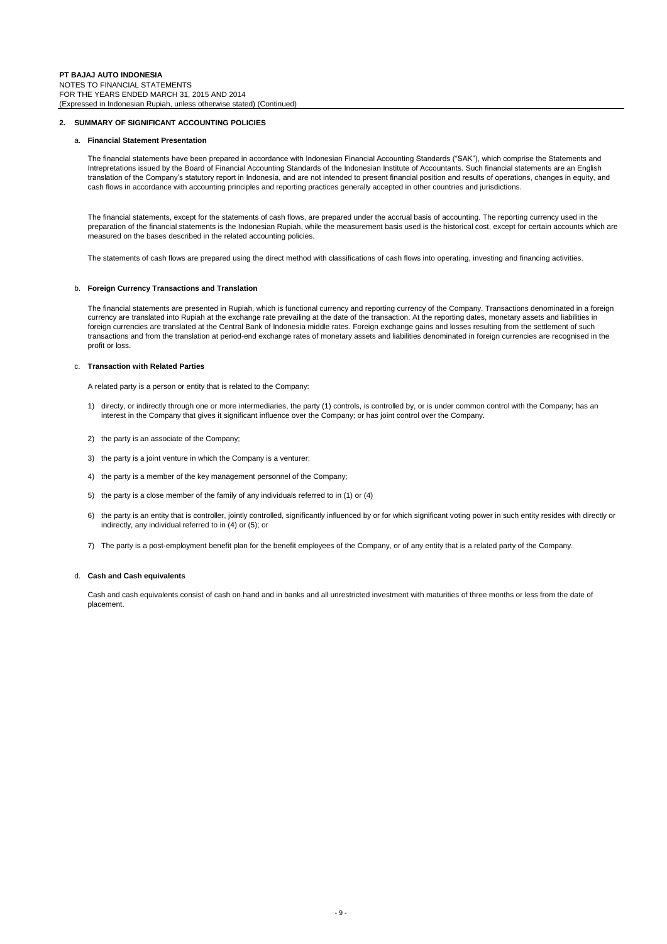#### **2. SUMMARY OF SIGNIFICANT ACCOUNTING POLICIES**

#### a. **Financial Statement Presentation**

The financial statements have been prepared in accordance with Indonesian Financial Accounting Standards ("SAK"), which comprise the Statements and Intrepretations issued by the Board of Financial Accounting Standards of the Indonesian Institute of Accountants. Such financial statements are an English translation of the Company's statutory report in Indonesia, and are not intended to present financial position and results of operations, changes in equity, and cash flows in accordance with accounting principles and reporting practices generally accepted in other countries and jurisdictions.

The financial statements, except for the statements of cash flows, are prepared under the accrual basis of accounting. The reporting currency used in the preparation of the financial statements is the Indonesian Rupiah, while the measurement basis used is the historical cost, except for certain accounts which are measured on the bases described in the related accounting policies.

The statements of cash flows are prepared using the direct method with classifications of cash flows into operating, investing and financing activities.

#### b. **Foreign Currency Transactions and Translation**

The financial statements are presented in Rupiah, which is functional currency and reporting currency of the Company. Transactions denominated in a foreign currency are translated into Rupiah at the exchange rate prevailing at the date of the transaction. At the reporting dates, monetary assets and liabilities in foreign currencies are translated at the Central Bank of Indonesia middle rates. Foreign exchange gains and losses resulting from the settlement of such transactions and from the translation at period-end exchange rates of monetary assets and liabilities denominated in foreign currencies are recognised in the profit or loss.

#### c. **Transaction with Related Parties**

A related party is a person or entity that is related to the Company:

- 1) directy, or indirectly through one or more intermediaries, the party (1) controls, is controlled by, or is under common control with the Company; has an interest in the Company that gives it significant influence over the Company; or has joint control over the Company.
- 2) the party is an associate of the Company;
- 3) the party is a joint venture in which the Company is a venturer;
- 4) the party is a member of the key management personnel of the Company;
- 5) the party is a close member of the family of any individuals referred to in (1) or (4)
- 6) the party is an entity that is controller, jointly controlled, significantly influenced by or for which significant voting power in such entity resides with directly or indirectly, any individual referred to in (4) or (5); or
- 7) The party is a post-employment benefit plan for the benefit employees of the Company, or of any entity that is a related party of the Company.

#### d. **Cash and Cash equivalents**

Cash and cash equivalents consist of cash on hand and in banks and all unrestricted investment with maturities of three months or less from the date of placement.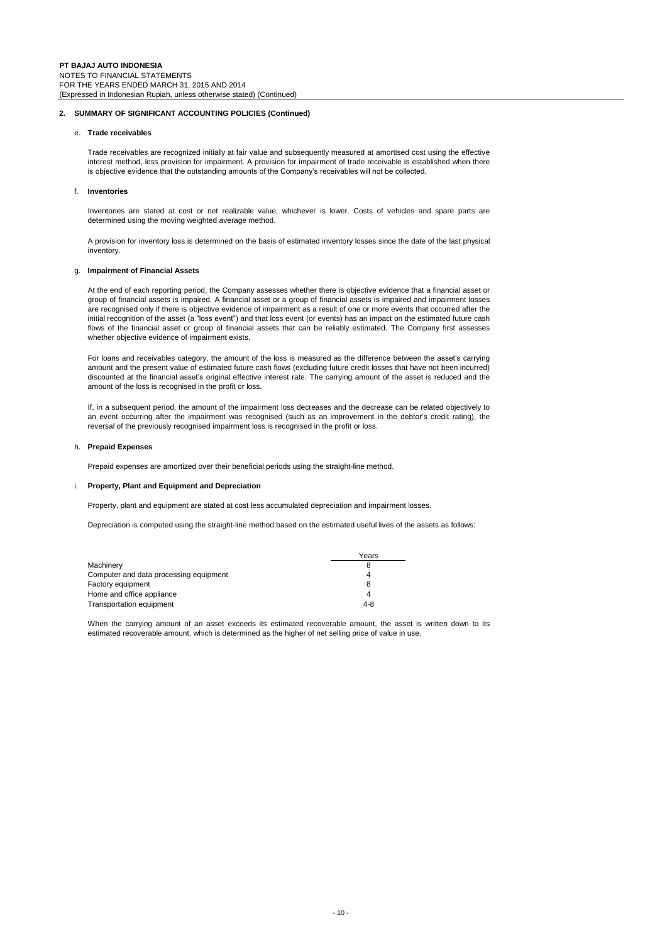#### **2. SUMMARY OF SIGNIFICANT ACCOUNTING POLICIES (Continued)**

#### e. **Trade receivables**

Trade receivables are recognized initially at fair value and subsequently measured at amortised cost using the effective interest method, less provision for impairment. A provision for impairment of trade receivable is established when there is objective evidence that the outstanding amounts of the Company's receivables will not be collected.

#### f. **Inventories**

Inventories are stated at cost or net realizable value, whichever is lower. Costs of vehicles and spare parts are determined using the moving weighted average method.

A provision for inventory loss is determined on the basis of estimated inventory losses since the date of the last physical inventory.

#### g. **Impairment of Financial Assets**

At the end of each reporting period, the Company assesses whether there is objective evidence that a financial asset or group of financial assets is impaired. A financial asset or a group of financial assets is impaired and impairment losses are recognised only if there is objective evidence of impairment as a result of one or more events that occurred after the initial recognition of the asset (a "loss event") and that loss event (or events) has an impact on the estimated future cash flows of the financial asset or group of financial assets that can be reliably estimated. The Company first assesses whether objective evidence of impairment exists.

For loans and receivables category, the amount of the loss is measured as the difference between the asset's carrying amount and the present value of estimated future cash flows (excluding future credit losses that have not been incurred) discounted at the financial asset's original effective interest rate. The carrying amount of the asset is reduced and the amount of the loss is recognised in the profit or loss.

If, in a subsequent period, the amount of the impairment loss decreases and the decrease can be related objectively to an event occurring after the impairment was recognised (such as an improvement in the debtor's credit rating), the reversal of the previously recognised impairment loss is recognised in the profit or loss.

#### h. **Prepaid Expenses**

Prepaid expenses are amortized over their beneficial periods using the straight-line method.

#### i. **Property, Plant and Equipment and Depreciation**

Property, plant and equipment are stated at cost less accumulated depreciation and impairment losses.

Depreciation is computed using the straight-line method based on the estimated useful lives of the assets as follows:

|                                        | Years   |
|----------------------------------------|---------|
| Machinery                              |         |
| Computer and data processing equipment |         |
| Factory equipment                      |         |
| Home and office appliance              |         |
| Transportation equipment               | $4 - 8$ |

When the carrying amount of an asset exceeds its estimated recoverable amount, the asset is written down to its estimated recoverable amount, which is determined as the higher of net selling price of value in use.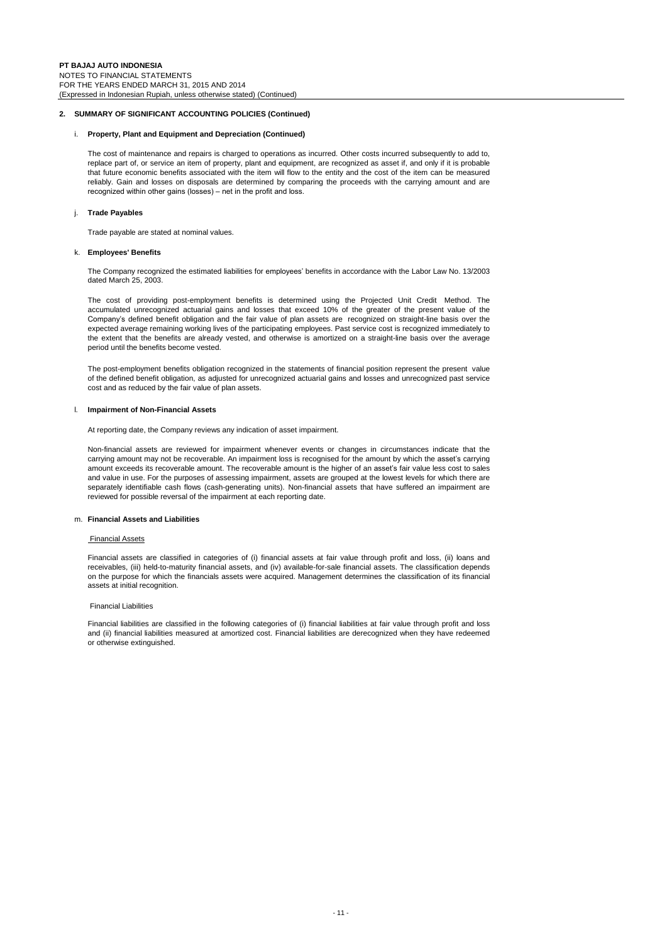#### **2. SUMMARY OF SIGNIFICANT ACCOUNTING POLICIES (Continued)**

#### i. **Property, Plant and Equipment and Depreciation (Continued)**

The cost of maintenance and repairs is charged to operations as incurred. Other costs incurred subsequently to add to, replace part of, or service an item of property, plant and equipment, are recognized as asset if, and only if it is probable that future economic benefits associated with the item will flow to the entity and the cost of the item can be measured reliably. Gain and losses on disposals are determined by comparing the proceeds with the carrying amount and are recognized within other gains (losses) – net in the profit and loss.

#### j. **Trade Payables**

Trade payable are stated at nominal values.

#### k. **Employees' Benefits**

The Company recognized the estimated liabilities for employees' benefits in accordance with the Labor Law No. 13/2003 dated March 25, 2003.

The cost of providing post-employment benefits is determined using the Projected Unit Credit Method. The accumulated unrecognized actuarial gains and losses that exceed 10% of the greater of the present value of the Company's defined benefit obligation and the fair value of plan assets are recognized on straight-line basis over the expected average remaining working lives of the participating employees. Past service cost is recognized immediately to the extent that the benefits are already vested, and otherwise is amortized on a straight-line basis over the average period until the benefits become vested.

The post-employment benefits obligation recognized in the statements of financial position represent the present value of the defined benefit obligation, as adjusted for unrecognized actuarial gains and losses and unrecognized past service cost and as reduced by the fair value of plan assets.

#### l. **Impairment of Non-Financial Assets**

At reporting date, the Company reviews any indication of asset impairment.

Non-financial assets are reviewed for impairment whenever events or changes in circumstances indicate that the carrying amount may not be recoverable. An impairment loss is recognised for the amount by which the asset's carrying amount exceeds its recoverable amount. The recoverable amount is the higher of an asset's fair value less cost to sales and value in use. For the purposes of assessing impairment, assets are grouped at the lowest levels for which there are separately identifiable cash flows (cash-generating units). Non-financial assets that have suffered an impairment are reviewed for possible reversal of the impairment at each reporting date.

#### m. **Financial Assets and Liabilities**

#### Financial Assets

Financial assets are classified in categories of (i) financial assets at fair value through profit and loss, (ii) loans and receivables, (iii) held-to-maturity financial assets, and (iv) available-for-sale financial assets. The classification depends on the purpose for which the financials assets were acquired. Management determines the classification of its financial assets at initial recognition.

#### Financial Liabilities

Financial liabilities are classified in the following categories of (i) financial liabilities at fair value through profit and loss and (ii) financial liabilities measured at amortized cost. Financial liabilities are derecognized when they have redeemed or otherwise extinguished.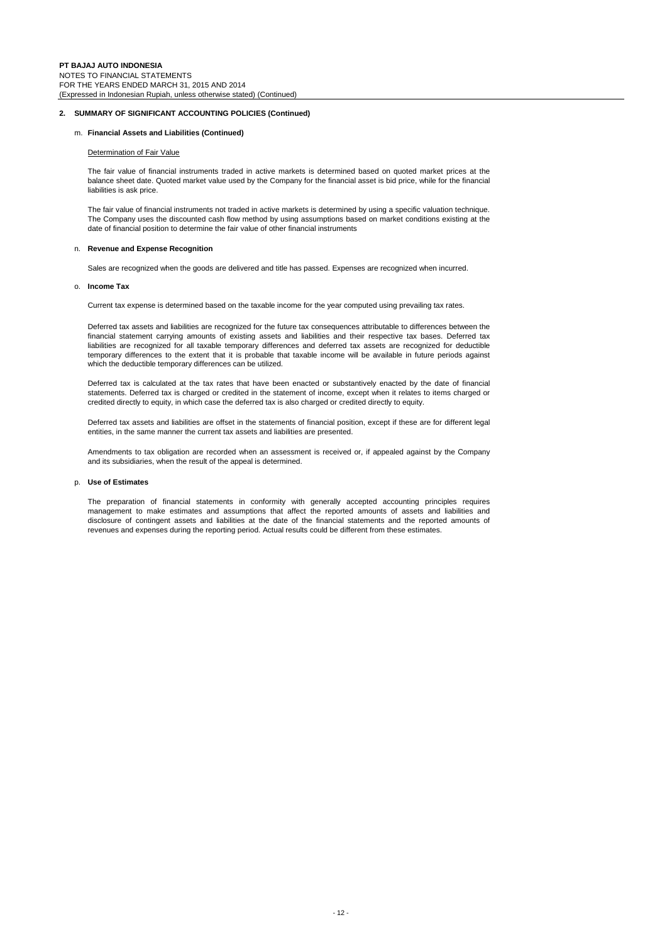#### **2. SUMMARY OF SIGNIFICANT ACCOUNTING POLICIES (Continued)**

#### m. **Financial Assets and Liabilities (Continued)**

#### Determination of Fair Value

The fair value of financial instruments traded in active markets is determined based on quoted market prices at the balance sheet date. Quoted market value used by the Company for the financial asset is bid price, while for the financial liabilities is ask price.

The fair value of financial instruments not traded in active markets is determined by using a specific valuation technique. The Company uses the discounted cash flow method by using assumptions based on market conditions existing at the date of financial position to determine the fair value of other financial instruments

#### n. **Revenue and Expense Recognition**

Sales are recognized when the goods are delivered and title has passed. Expenses are recognized when incurred.

#### o. **Income Tax**

Current tax expense is determined based on the taxable income for the year computed using prevailing tax rates.

Deferred tax assets and liabilities are recognized for the future tax consequences attributable to differences between the financial statement carrying amounts of existing assets and liabilities and their respective tax bases. Deferred tax liabilities are recognized for all taxable temporary differences and deferred tax assets are recognized for deductible temporary differences to the extent that it is probable that taxable income will be available in future periods against which the deductible temporary differences can be utilized.

Deferred tax is calculated at the tax rates that have been enacted or substantively enacted by the date of financial statements. Deferred tax is charged or credited in the statement of income, except when it relates to items charged or credited directly to equity, in which case the deferred tax is also charged or credited directly to equity.

Deferred tax assets and liabilities are offset in the statements of financial position, except if these are for different legal entities, in the same manner the current tax assets and liabilities are presented.

Amendments to tax obligation are recorded when an assessment is received or, if appealed against by the Company and its subsidiaries, when the result of the appeal is determined.

#### p. **Use of Estimates**

The preparation of financial statements in conformity with generally accepted accounting principles requires management to make estimates and assumptions that affect the reported amounts of assets and liabilities and disclosure of contingent assets and liabilities at the date of the financial statements and the reported amounts of revenues and expenses during the reporting period. Actual results could be different from these estimates.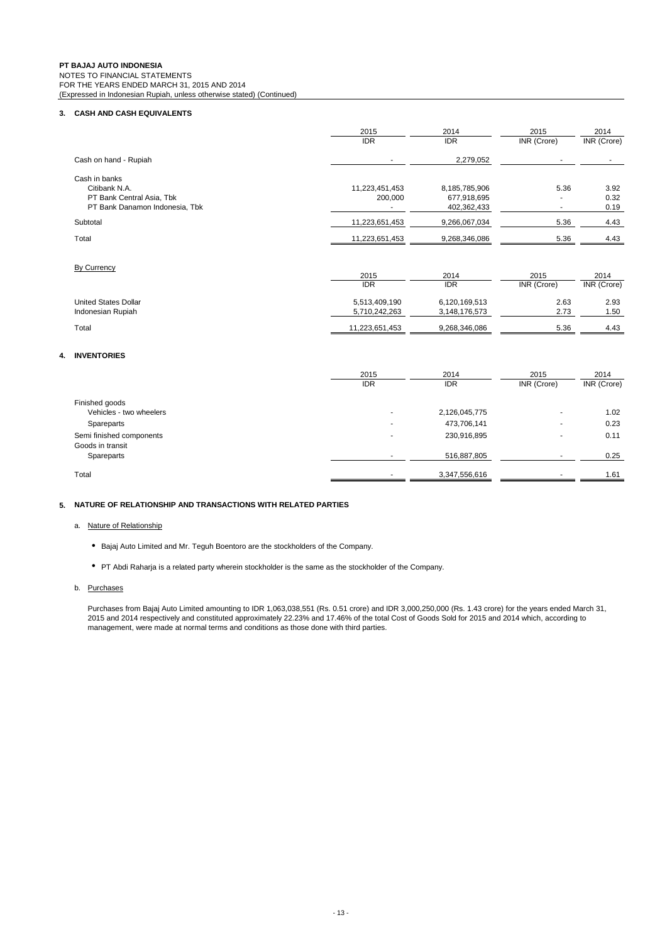**PT BAJAJ AUTO INDONESIA** NOTES TO FINANCIAL STATEMENTS FOR THE YEARS ENDED MARCH 31, 2015 AND 2014 (Expressed in Indonesian Rupiah, unless otherwise stated) (Continued)

#### **3. CASH AND CASH EQUIVALENTS**

|                                | 2015           | 2014          | 2015        | 2014               |
|--------------------------------|----------------|---------------|-------------|--------------------|
|                                | <b>IDR</b>     | <b>IDR</b>    | INR (Crore) | INR (Crore)        |
| Cash on hand - Rupiah          |                | 2,279,052     |             |                    |
| Cash in banks                  |                |               |             |                    |
| Citibank N.A.                  | 11,223,451,453 | 8,185,785,906 | 5.36        | 3.92               |
| PT Bank Central Asia, Tbk      | 200,000        | 677,918,695   |             | 0.32               |
| PT Bank Danamon Indonesia, Tbk |                | 402,362,433   | ٠           | 0.19               |
| Subtotal                       | 11,223,651,453 | 9,266,067,034 | 5.36        | 4.43               |
| Total                          | 11,223,651,453 | 9,268,346,086 | 5.36        | 4.43               |
| By Currency                    |                |               |             |                    |
|                                | 2015           | 2014          | 2015        | 2014               |
|                                | <b>IDR</b>     | <b>IDR</b>    | INR (Crore) | <b>INR</b> (Crore) |
| <b>United States Dollar</b>    | 5,513,409,190  | 6,120,169,513 | 2.63        | 2.93               |
| Indonesian Rupiah              | 5,710,242,263  | 3,148,176,573 | 2.73        | 1.50               |
| Total                          | 11,223,651,453 | 9,268,346,086 | 5.36        | 4.43               |

#### **4. INVENTORIES**

|                          | 2015<br><b>IDR</b>       | 2014<br><b>IDR</b> | 2015<br>INR (Crore) | 2014<br>INR (Crore) |
|--------------------------|--------------------------|--------------------|---------------------|---------------------|
| Finished goods           |                          |                    |                     |                     |
| Vehicles - two wheelers  | $\overline{\phantom{a}}$ | 2,126,045,775      | $\sim$              | 1.02                |
| Spareparts               | $\overline{\phantom{a}}$ | 473,706,141        | ۰                   | 0.23                |
| Semi finished components |                          | 230,916,895        |                     | 0.11                |
| Goods in transit         |                          |                    |                     |                     |
| Spareparts               |                          | 516,887,805        |                     | 0.25                |
| Total                    |                          | 3,347,556,616      |                     | 1.61                |

#### **5. NATURE OF RELATIONSHIP AND TRANSACTIONS WITH RELATED PARTIES**

#### a. Nature of Relationship

- Bajaj Auto Limited and Mr. Teguh Boentoro are the stockholders of the Company.
- PT Abdi Raharja is a related party wherein stockholder is the same as the stockholder of the Company.

### b. Purchases

Purchases from Bajaj Auto Limited amounting to IDR 1,063,038,551 (Rs. 0.51 crore) and IDR 3,000,250,000 (Rs. 1.43 crore) for the years ended March 31, 2015 and 2014 respectively and constituted approximately 22.23% and 17.46% of the total Cost of Goods Sold for 2015 and 2014 which, according to management, were made at normal terms and conditions as those done with third parties.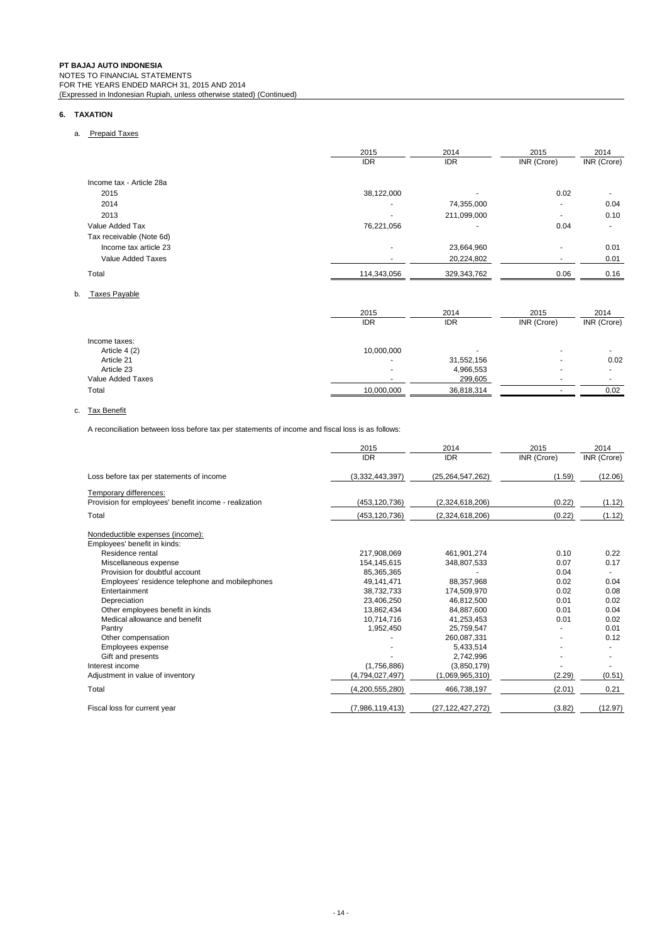### **6. TAXATION**

# a. Prepaid Taxes

|                          | 2015        | 2014        | 2015        | 2014        |
|--------------------------|-------------|-------------|-------------|-------------|
|                          | <b>IDR</b>  | <b>IDR</b>  | INR (Crore) | INR (Crore) |
| Income tax - Article 28a |             |             |             |             |
| 2015                     | 38,122,000  |             | 0.02        |             |
| 2014                     |             | 74,355,000  | ۰           | 0.04        |
| 2013                     |             | 211,099,000 | ۰           | 0.10        |
| Value Added Tax          | 76,221,056  |             | 0.04        |             |
| Tax receivable (Note 6d) |             |             |             |             |
| Income tax article 23    |             | 23,664,960  | ۰           | 0.01        |
| Value Added Taxes        |             | 20,224,802  | ۰           | 0.01        |
| Total                    | 114,343,056 | 329,343,762 | 0.06        | 0.16        |
| Taxes Payable<br>b.      |             |             |             |             |
|                          | 2015        | 2014        | 2015        | 2014        |
|                          | <b>IDR</b>  | <b>IDR</b>  | INR (Crore) | INR (Crore) |
| Income taxes:            |             |             |             |             |
| ArticlaA(2)              | 10,000,000  |             |             |             |

| пісопіе тахез.    |            |            |      |
|-------------------|------------|------------|------|
| Article 4 (2)     | 10.000.000 |            |      |
| Article 21        |            | 31,552,156 | 0.02 |
| Article 23        |            | 4,966,553  |      |
| Value Added Taxes |            | 299.605    |      |
| Total             | 10.000.000 | 36,818,314 | 0.02 |

# c. Tax Benefit

A reconciliation between loss before tax per statements of income and fiscal loss is as follows:

|                                                       | 2015            | 2014                | 2015        | 2014        |
|-------------------------------------------------------|-----------------|---------------------|-------------|-------------|
|                                                       | <b>IDR</b>      | <b>IDR</b>          | INR (Crore) | INR (Crore) |
| Loss before tax per statements of income              | (3,332,443,397) | (25, 264, 547, 262) | (1.59)      | (12.06)     |
| Temporary differences:                                |                 |                     |             |             |
| Provision for employees' benefit income - realization | (453, 120, 736) | (2,324,618,206)     | (0.22)      | (1.12)      |
| Total                                                 | (453, 120, 736) | (2,324,618,206)     | (0.22)      | (1.12)      |
| Nondeductible expenses (income):                      |                 |                     |             |             |
| Employees' benefit in kinds:                          |                 |                     |             |             |
| Residence rental                                      | 217,908,069     | 461.901.274         | 0.10        | 0.22        |
| Miscellaneous expense                                 | 154, 145, 615   | 348,807,533         | 0.07        | 0.17        |
| Provision for doubtful account                        | 85.365.365      |                     | 0.04        |             |
| Employees' residence telephone and mobilephones       | 49,141,471      | 88,357,968          | 0.02        | 0.04        |
| Entertainment                                         | 38,732,733      | 174,509,970         | 0.02        | 0.08        |
| Depreciation                                          | 23,406,250      | 46.812.500          | 0.01        | 0.02        |
| Other employees benefit in kinds                      | 13,862,434      | 84,887,600          | 0.01        | 0.04        |
| Medical allowance and benefit                         | 10.714.716      | 41.253.453          | 0.01        | 0.02        |
| Pantry                                                | 1,952,450       | 25,759,547          |             | 0.01        |
| Other compensation                                    |                 | 260.087.331         |             | 0.12        |
| Employees expense                                     |                 | 5.433.514           |             |             |
| Gift and presents                                     |                 | 2,742,996           |             |             |
| Interest income                                       | (1,756,886)     | (3,850,179)         |             |             |
| Adjustment in value of inventory                      | (4,794,027,497) | (1,069,965,310)     | (2.29)      | (0.51)      |
| Total                                                 | (4,200,555,280) | 466,738,197         | (2.01)      | 0.21        |
| Fiscal loss for current year                          | (7,986,119,413) | (27, 122, 427, 272) | (3.82)      | (12.97)     |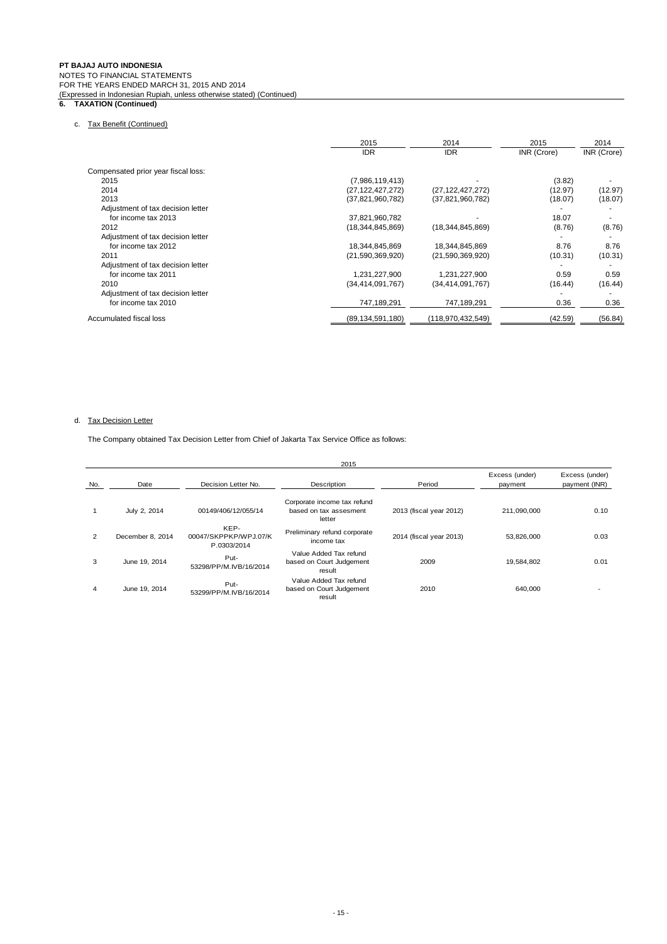#### **PT BAJAJ AUTO INDONESIA** NOTES TO FINANCIAL STATEMENTS FOR THE YEARS ENDED MARCH 31, 2015 AND 2014 (Expressed in Indonesian Rupiah, unless otherwise stated) (Continued)

#### **6. TAXATION (Continued)**

# c. Tax Benefit (Continued)

|                                     | 2015                | 2014                | 2015        | 2014        |
|-------------------------------------|---------------------|---------------------|-------------|-------------|
|                                     | <b>IDR</b>          | <b>IDR</b>          | INR (Crore) | INR (Crore) |
| Compensated prior year fiscal loss: |                     |                     |             |             |
| 2015                                | (7,986,119,413)     |                     | (3.82)      |             |
| 2014                                | (27, 122, 427, 272) | (27, 122, 427, 272) | (12.97)     | (12.97)     |
| 2013                                | (37, 821, 960, 782) | (37,821,960,782)    | (18.07)     | (18.07)     |
| Adjustment of tax decision letter   |                     |                     |             |             |
| for income tax 2013                 | 37,821,960,782      |                     | 18.07       |             |
| 2012                                | (18,344,845,869)    | (18, 344, 845, 869) | (8.76)      | (8.76)      |
| Adjustment of tax decision letter   |                     |                     |             |             |
| for income tax 2012                 | 18,344,845,869      | 18,344,845,869      | 8.76        | 8.76        |
| 2011                                | (21,590,369,920)    | (21,590,369,920)    | (10.31)     | (10.31)     |
| Adjustment of tax decision letter   |                     |                     |             |             |
| for income tax 2011                 | 1,231,227,900       | 1,231,227,900       | 0.59        | 0.59        |
| 2010                                | (34, 414, 091, 767) | (34, 414, 091, 767) | (16.44)     | (16.44)     |
| Adjustment of tax decision letter   |                     |                     |             |             |
| for income tax 2010                 | 747,189,291         | 747,189,291         | 0.36        | 0.36        |
| Accumulated fiscal loss             | (89, 134, 591, 180) | (118,970,432,549)   | (42.59)     | (56.84)     |

# d. Tax Decision Letter

The Company obtained Tax Decision Letter from Chief of Jakarta Tax Service Office as follows:

|     | 2015             |                                              |                                                                 |                         |                           |                                 |  |  |
|-----|------------------|----------------------------------------------|-----------------------------------------------------------------|-------------------------|---------------------------|---------------------------------|--|--|
| No. | Date             | Decision Letter No.                          | Description                                                     | Period                  | Excess (under)<br>payment | Excess (under)<br>payment (INR) |  |  |
|     | July 2, 2014     | 00149/406/12/055/14                          | Corporate income tax refund<br>based on tax assesment<br>letter | 2013 (fiscal year 2012) | 211.090.000               | 0.10                            |  |  |
| 2   | December 8, 2014 | KEP-<br>00047/SKPPKP/WPJ.07/K<br>P.0303/2014 | Preliminary refund corporate<br>income tax                      | 2014 (fiscal year 2013) | 53,826,000                | 0.03                            |  |  |
| 3   | June 19, 2014    | Put-<br>53298/PP/M.IVB/16/2014               | Value Added Tax refund<br>based on Court Judgement<br>result    | 2009                    | 19,584,802                | 0.01                            |  |  |
| 4   | June 19, 2014    | Put-<br>53299/PP/M.IVB/16/2014               | Value Added Tax refund<br>based on Court Judgement<br>result    | 2010                    | 640,000                   |                                 |  |  |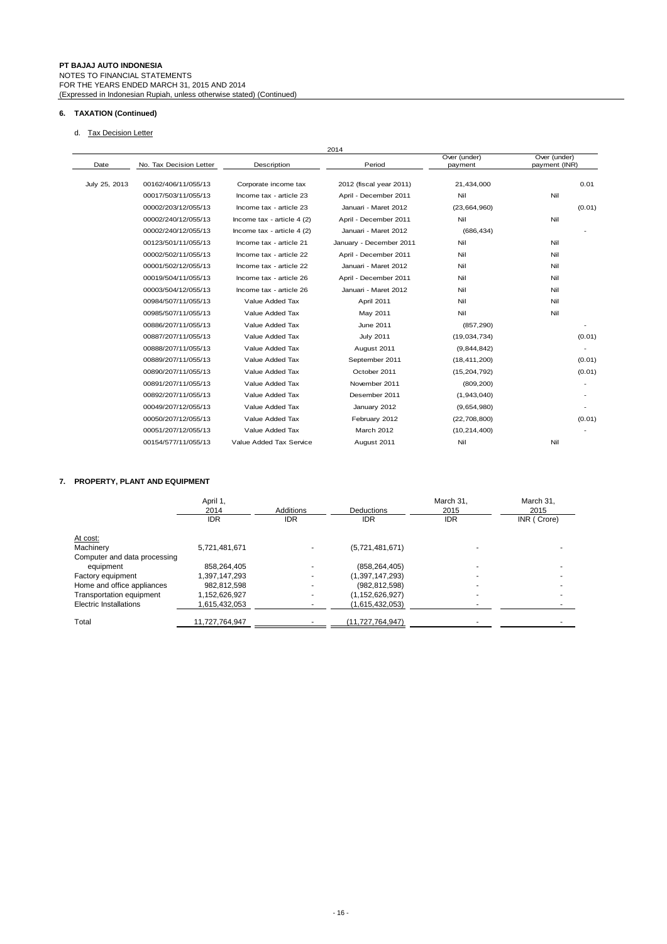# **6. TAXATION (Continued)**

# d. Tax Decision Letter

|               |                         |                             | 2014                    |                         |                               |
|---------------|-------------------------|-----------------------------|-------------------------|-------------------------|-------------------------------|
| Date          | No. Tax Decision Letter | Description                 | Period                  | Over (under)<br>payment | Over (under)<br>payment (INR) |
| July 25, 2013 | 00162/406/11/055/13     | Corporate income tax        | 2012 (fiscal year 2011) | 21,434,000              | 0.01                          |
|               | 00017/503/11/055/13     | Income tax - article 23     | April - December 2011   | Nil                     | Nil                           |
|               | 00002/203/12/055/13     | Income tax - article 23     | Januari - Maret 2012    | (23,664,960)            | (0.01)                        |
|               | 00002/240/12/055/13     | Income tax - article $4(2)$ | April - December 2011   | Nil                     | Nil                           |
|               | 00002/240/12/055/13     | Income tax - article $4(2)$ | Januari - Maret 2012    | (686, 434)              |                               |
|               | 00123/501/11/055/13     | Income tax - article 21     | January - December 2011 | Nil                     | Nil                           |
|               | 00002/502/11/055/13     | Income tax - article 22     | April - December 2011   | Nil                     | Nil                           |
|               | 00001/502/12/055/13     | Income tax - article 22     | Januari - Maret 2012    | Nil                     | Nil                           |
|               | 00019/504/11/055/13     | Income tax - article 26     | April - December 2011   | Nil                     | Nil                           |
|               | 00003/504/12/055/13     | Income tax - article 26     | Januari - Maret 2012    | Nil                     | Nil                           |
|               | 00984/507/11/055/13     | Value Added Tax             | April 2011              | Nil                     | Nil                           |
|               | 00985/507/11/055/13     | Value Added Tax             | May 2011                | Nil                     | Nil                           |
|               | 00886/207/11/055/13     | Value Added Tax             | June 2011               | (857, 290)              | ٠                             |
|               | 00887/207/11/055/13     | Value Added Tax             | <b>July 2011</b>        | (19,034,734)            | (0.01)                        |
|               | 00888/207/11/055/13     | Value Added Tax             | August 2011             | (9,844,842)             |                               |
|               | 00889/207/11/055/13     | Value Added Tax             | September 2011          | (18, 411, 200)          | (0.01)                        |
|               | 00890/207/11/055/13     | Value Added Tax             | October 2011            | (15, 204, 792)          | (0.01)                        |
|               | 00891/207/11/055/13     | Value Added Tax             | November 2011           | (809, 200)              |                               |
|               | 00892/207/11/055/13     | Value Added Tax             | Desember 2011           | (1,943,040)             |                               |
|               | 00049/207/12/055/13     | Value Added Tax             | January 2012            | (9,654,980)             |                               |
|               | 00050/207/12/055/13     | Value Added Tax             | February 2012           | (22,708,800)            | (0.01)                        |
|               | 00051/207/12/055/13     | Value Added Tax             | March 2012              | (10, 214, 400)          |                               |
|               | 00154/577/11/055/13     | Value Added Tax Service     | August 2011             | Nil                     | Nil                           |

# **7. PROPERTY, PLANT AND EQUIPMENT**

|                              | April 1,<br>2014<br><b>IDR</b> | <b>Additions</b><br><b>IDR</b> | Deductions<br><b>IDR</b> | March 31,<br>2015<br><b>IDR</b> | March 31.<br>2015<br>INR (Crore) |
|------------------------------|--------------------------------|--------------------------------|--------------------------|---------------------------------|----------------------------------|
| At cost:                     |                                |                                |                          |                                 |                                  |
| Machinery                    | 5,721,481,671                  |                                | (5,721,481,671)          |                                 |                                  |
| Computer and data processing |                                |                                |                          |                                 |                                  |
| equipment                    | 858,264,405                    |                                | (858, 264, 405)          |                                 |                                  |
| Factory equipment            | 1.397.147.293                  |                                | (1,397,147,293)          |                                 |                                  |
| Home and office appliances   | 982,812,598                    |                                | (982, 812, 598)          |                                 |                                  |
| Transportation equipment     | 1,152,626,927                  |                                | (1, 152, 626, 927)       |                                 |                                  |
| Electric Installations       | 1,615,432,053                  |                                | (1,615,432,053)          |                                 |                                  |
| Total                        | 11,727,764,947                 |                                | (11,727,764,947)         |                                 |                                  |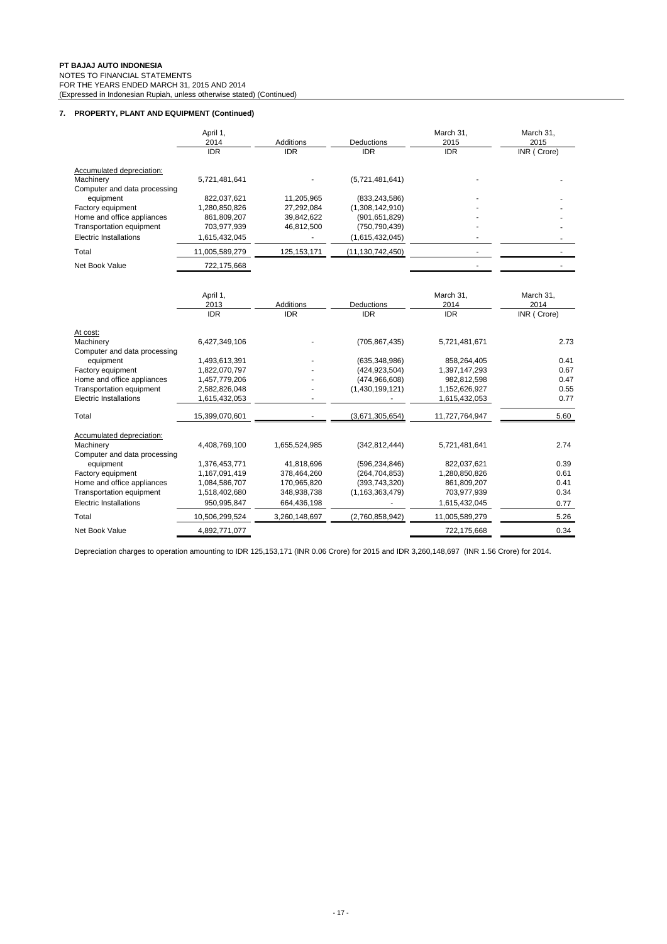# **7. PROPERTY, PLANT AND EQUIPMENT (Continued)**

|                                           | April 1,<br>2014 | Additions     | Deductions          | March 31,<br>2015 | March 31,<br>2015 |
|-------------------------------------------|------------------|---------------|---------------------|-------------------|-------------------|
|                                           | <b>IDR</b>       | <b>IDR</b>    | <b>IDR</b>          | <b>IDR</b>        | INR (Crore)       |
| Accumulated depreciation:                 |                  |               |                     |                   |                   |
| Machinery<br>Computer and data processing | 5,721,481,641    |               | (5,721,481,641)     |                   |                   |
| equipment                                 | 822,037,621      | 11,205,965    | (833, 243, 586)     |                   |                   |
| Factory equipment                         | 1,280,850,826    | 27,292,084    | (1,308,142,910)     |                   |                   |
| Home and office appliances                | 861,809,207      | 39,842,622    | (901, 651, 829)     |                   |                   |
| Transportation equipment                  | 703,977,939      | 46,812,500    | (750, 790, 439)     |                   |                   |
| Electric Installations                    | 1,615,432,045    |               | (1,615,432,045)     |                   |                   |
| Total                                     | 11,005,589,279   | 125, 153, 171 | (11, 130, 742, 450) |                   |                   |
| Net Book Value                            | 722,175,668      |               |                     |                   |                   |
|                                           |                  |               |                     |                   |                   |
|                                           | April 1,         |               |                     | March 31,         | March 31,         |
|                                           | 2013             | Additions     | Deductions          | 2014              | 2014              |
|                                           | <b>IDR</b>       | <b>IDR</b>    | <b>IDR</b>          | <b>IDR</b>        | INR (Crore)       |
| At cost:                                  |                  |               |                     |                   |                   |
| Machinery                                 | 6,427,349,106    |               | (705, 867, 435)     | 5,721,481,671     | 2.73              |
| Computer and data processing              |                  |               |                     |                   |                   |
| equipment                                 | 1,493,613,391    |               | (635, 348, 986)     | 858,264,405       | 0.41              |
| Factory equipment                         | 1,822,070,797    |               | (424, 923, 504)     | 1,397,147,293     | 0.67              |
| Home and office appliances                | 1,457,779,206    |               | (474, 966, 608)     | 982,812,598       | 0.47              |
| Transportation equipment                  | 2,582,826,048    |               | (1,430,199,121)     | 1,152,626,927     | 0.55              |
| Electric Installations                    | 1,615,432,053    |               |                     | 1,615,432,053     | 0.77              |
| Total                                     | 15,399,070,601   |               | (3,671,305,654)     | 11,727,764,947    | 5.60              |
| Accumulated depreciation:                 |                  |               |                     |                   |                   |
| Machinery                                 | 4,408,769,100    | 1,655,524,985 | (342, 812, 444)     | 5,721,481,641     | 2.74              |
| Computer and data processing              |                  |               |                     |                   |                   |
| equipment                                 | 1,376,453,771    | 41,818,696    | (596, 234, 846)     | 822,037,621       | 0.39              |
| Factory equipment                         | 1,167,091,419    | 378,464,260   | (264, 704, 853)     | 1,280,850,826     | 0.61              |
| Home and office appliances                | 1,084,586,707    | 170,965,820   | (393, 743, 320)     | 861,809,207       | 0.41              |
| Transportation equipment                  | 1,518,402,680    | 348,938,738   | (1, 163, 363, 479)  | 703,977,939       | 0.34              |
| <b>Electric Installations</b>             | 950,995,847      | 664,436,198   |                     | 1,615,432,045     | 0.77              |
| Total                                     | 10,506,299,524   | 3,260,148,697 | (2,760,858,942)     | 11,005,589,279    | 5.26              |
| Net Book Value                            | 4,892,771,077    |               |                     | 722,175,668       | 0.34              |

Depreciation charges to operation amounting to IDR 125,153,171 (INR 0.06 Crore) for 2015 and IDR 3,260,148,697 (INR 1.56 Crore) for 2014.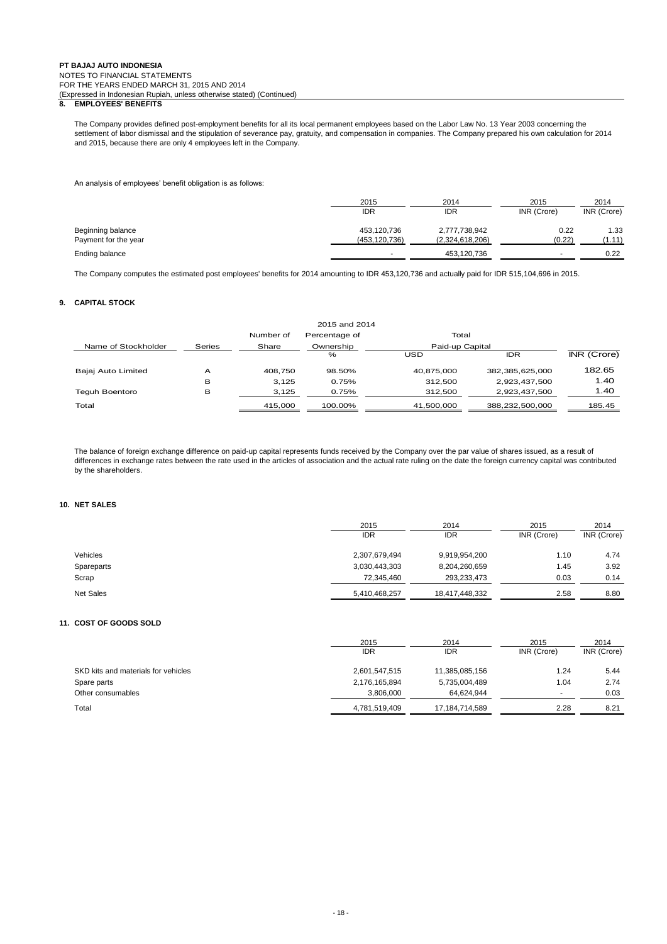### **8. EMPLOYEES' BENEFITS**

The Company provides defined post-employment benefits for all its local permanent employees based on the Labor Law No. 13 Year 2003 concerning the settlement of labor dismissal and the stipulation of severance pay, gratuity, and compensation in companies. The Company prepared his own calculation for 2014 and 2015, because there are only 4 employees left in the Company.

An analysis of employees' benefit obligation is as follows:

|                      | 2015            | 2014            | 2015        | 2014        |  |
|----------------------|-----------------|-----------------|-------------|-------------|--|
|                      | <b>IDR</b>      | IDR             | INR (Crore) | INR (Crore) |  |
| Beginning balance    | 453,120,736     | 2,777,738,942   | 0.22        | 1.33        |  |
| Payment for the year | (453, 120, 736) | (2,324,618,206) | (0.22)      | (1.11)      |  |
| Ending balance       |                 | 453,120,736     |             | 0.22        |  |

The Company computes the estimated post employees' benefits for 2014 amounting to IDR 453,120,736 and actually paid for IDR 515,104,696 in 2015.

#### **9. CAPITAL STOCK**

|                     |        |           | 2015 and 2014 |                 |                 |                    |
|---------------------|--------|-----------|---------------|-----------------|-----------------|--------------------|
|                     |        | Number of | Percentage of | Total           |                 |                    |
| Name of Stockholder | Series | Share     | Ownership     | Paid-up Capital |                 |                    |
|                     |        |           | $\%$          | USD             | <b>IDR</b>      | <b>INR</b> (Crore) |
| Bajaj Auto Limited  | А      | 408.750   | 98.50%        | 40.875.000      | 382,385,625,000 | 182.65             |
|                     | в      | 3.125     | 0.75%         | 312.500         | 2,923,437,500   | 1.40               |
| Teguh Boentoro      | в      | 3,125     | 0.75%         | 312,500         | 2,923,437,500   | 1.40               |
| Total               |        | 415,000   | 100.00%       | 41,500,000      | 388,232,500,000 | 185.45             |

The balance of foreign exchange difference on paid-up capital represents funds received by the Company over the par value of shares issued, as a result of differences in exchange rates between the rate used in the articles of association and the actual rate ruling on the date the foreign currency capital was contributed by the shareholders.

#### **10. NET SALES**

|                  | 2015<br><b>IDR</b> | 2014<br><b>IDR</b> | 2015<br>INR (Crore) | 2014<br>INR (Crore) |
|------------------|--------------------|--------------------|---------------------|---------------------|
| Vehicles         | 2,307,679,494      | 9,919,954,200      | 1.10                | 4.74                |
| Spareparts       | 3,030,443,303      | 8,204,260,659      | 1.45                | 3.92                |
| Scrap            | 72,345,460         | 293,233,473        | 0.03                | 0.14                |
| <b>Net Sales</b> | 5,410,468,257      | 18,417,448,332     | 2.58                | 8.80                |

#### **11. COST OF GOODS SOLD**

|                                     | 2015<br><b>IDR</b> | 2014<br><b>IDR</b> | 2015<br>INR (Crore)      | 2014<br>INR (Crore) |
|-------------------------------------|--------------------|--------------------|--------------------------|---------------------|
|                                     |                    |                    |                          |                     |
| SKD kits and materials for vehicles | 2,601,547,515      | 11,385,085,156     | 1.24                     | 5.44                |
| Spare parts                         | 2,176,165,894      | 5,735,004,489      | 1.04                     | 2.74                |
| Other consumables                   | 3,806,000          | 64,624,944         | $\overline{\phantom{a}}$ | 0.03                |
| Total                               | 4,781,519,409      | 17.184.714.589     | 2.28                     | 8.21                |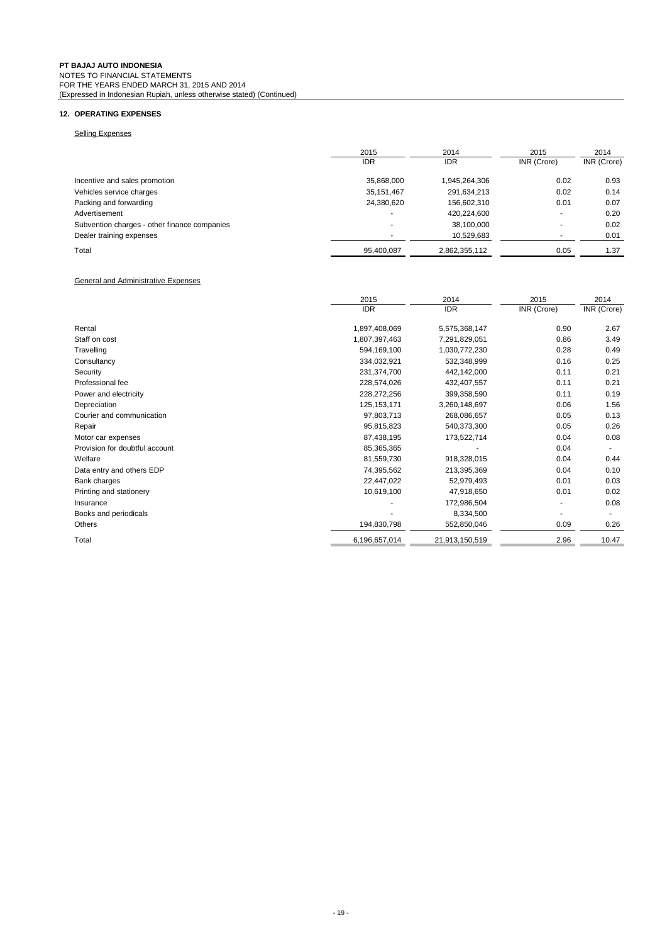# **12. OPERATING EXPENSES**

# Selling Expenses

|                                              | 2015                     | 2014          | 2015        | 2014        |
|----------------------------------------------|--------------------------|---------------|-------------|-------------|
|                                              | <b>IDR</b>               | <b>IDR</b>    | INR (Crore) | INR (Crore) |
| Incentive and sales promotion                | 35,868,000               | 1,945,264,306 | 0.02        | 0.93        |
| Vehicles service charges                     | 35,151,467               | 291,634,213   | 0.02        | 0.14        |
| Packing and forwarding                       | 24,380,620               | 156,602,310   | 0.01        | 0.07        |
| Advertisement                                | $\overline{\phantom{a}}$ | 420,224,600   | ۰           | 0.20        |
| Subvention charges - other finance companies |                          | 38,100,000    |             | 0.02        |
| Dealer training expenses                     |                          | 10,529,683    | ۰           | 0.01        |
| Total                                        | 95,400,087               | 2,862,355,112 | 0.05        | 1.37        |

#### General and Administrative Expenses

|                                | 2015          | 2014           | 2015        | 2014        |
|--------------------------------|---------------|----------------|-------------|-------------|
|                                | <b>IDR</b>    | <b>IDR</b>     | INR (Crore) | INR (Crore) |
| Rental                         | 1,897,408,069 | 5,575,368,147  | 0.90        | 2.67        |
| Staff on cost                  | 1,807,397,463 | 7,291,829,051  | 0.86        | 3.49        |
| Travelling                     | 594,169,100   | 1,030,772,230  | 0.28        | 0.49        |
| Consultancy                    | 334,032,921   | 532,348,999    | 0.16        | 0.25        |
| Security                       | 231,374,700   | 442,142,000    | 0.11        | 0.21        |
| Professional fee               | 228,574,026   | 432,407,557    | 0.11        | 0.21        |
| Power and electricity          | 228,272,256   | 399,358,590    | 0.11        | 0.19        |
| Depreciation                   | 125, 153, 171 | 3,260,148,697  | 0.06        | 1.56        |
| Courier and communication      | 97,803,713    | 268,086,657    | 0.05        | 0.13        |
| Repair                         | 95,815,823    | 540,373,300    | 0.05        | 0.26        |
| Motor car expenses             | 87,438,195    | 173,522,714    | 0.04        | 0.08        |
| Provision for doubtful account | 85,365,365    |                | 0.04        |             |
| Welfare                        | 81,559,730    | 918,328,015    | 0.04        | 0.44        |
| Data entry and others EDP      | 74,395,562    | 213,395,369    | 0.04        | 0.10        |
| Bank charges                   | 22,447,022    | 52,979,493     | 0.01        | 0.03        |
| Printing and stationery        | 10,619,100    | 47,918,650     | 0.01        | 0.02        |
| Insurance                      |               | 172,986,504    |             | 0.08        |
| Books and periodicals          |               | 8,334,500      | -           |             |
| Others                         | 194,830,798   | 552,850,046    | 0.09        | 0.26        |
| Total                          | 6,196,657,014 | 21,913,150,519 | 2.96        | 10.47       |